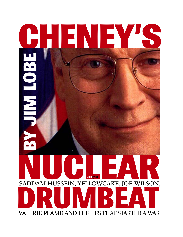# SADDAM HUSSEIN, YELLOWCAKE, JOE WILSON, **DRUGAM HOSSEIN, TELLOWCANE, JOE WILSON,** VALERIE PLAME AND THE LIES THAT STARTED A WAR **CHENEY'S ColdType BY JI MLOBE**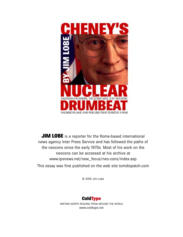

**JIM LOBE** is a reporter for the Rome-based international news agency Inter Press Service and has followed the paths of the neocons since the early 1970s. Most of his work on the neocons can be accessed at his archive at www.ipsnews.net/new\_focus/neo-cons/index.asp This essay was first published on the web site tomdispatch.com

© 2005 Jim Lobe

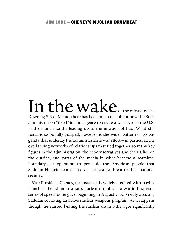### In the wake of the release of the Downing Street Memo, there has been much talk about how the Bush administration "fixed" its intelligence to create a war fever in the U.S. in the many months leading up to the invasion of Iraq. What still remains to be fully grasped, however, is the wider pattern of propaganda that underlay the administration's war effort – in particular, the overlapping networks of relationships that tied together so many key figures in the administration, the neoconservatives and their allies on the outside, and parts of the media in what became a seamless, boundary-less operation to persuade the American people that Saddam Hussein represented an intolerable threat to their national security.

Vice President Cheney, for instance, is widely credited with having launched the administration's nuclear drumbeat to war in Iraq via a series of speeches he gave, beginning in August 2002, vividly accusing Saddam of having an active nuclear weapons program. As it happens though, he started beating the nuclear drum with vigor significantly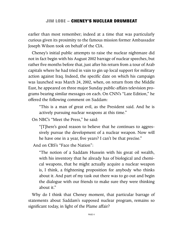earlier than most remember; indeed at a time that was particularly curious given its proximity to the famous mission former Ambassador Joseph Wilson took on behalf of the CIA.

Cheney's initial public attempts to raise the nuclear nightmare did not in fact begin with his August 2002 barrage of nuclear speeches, but rather five months before that, just after his return from a tour of Arab capitals where he had tried in vain to gin up local support for military action against Iraq. Indeed, the specific date on which his campaign was launched was March 24, 2002, when, on return from the Middle East, he appeared on three major Sunday public-affairs television programs bearing similar messages on each. On CNN's "Late Edition," he offered the following comment on Saddam:

"This is a man of great evil, as the President said. And he is actively pursuing nuclear weapons at this time."

On NBC's "Meet the Press," he said:

"[T]here's good reason to believe that he continues to aggressively pursue the development of a nuclear weapon. Now will he have one in a year, five years? I can't be that precise."

And on CBS's "Face the Nation":

"The notion of a Saddam Hussein with his great oil wealth, with his inventory that he already has of biological and chemical weapons, that he might actually acquire a nuclear weapon is, I think, a frightening proposition for anybody who thinks about it. And part of my task out there was to go out and begin the dialogue with our friends to make sure they were thinking about it."

Why do I think that Cheney moment, that particular barrage of statements about Saddam's supposed nuclear program, remains so significant today, in light of the Plame affair?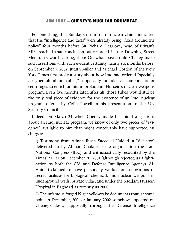For one thing, that Sunday's drum roll of nuclear claims indicated that the "intelligence and facts" were already being "fixed around the policy" four months before Sir Richard Dearlove, head of Britain's MI6, reached that conclusion, as recorded in the Downing Street Memo. It's worth asking, then: On what basis could Cheney make such assertions with such evident certainty, nearly six months before, on September 7, 2002, Judith Miller and Michael Gordon of the New York Times first broke a story about how Iraq had ordered "specially designed aluminum tubes," supposedly intended as components for centrifuges to enrich uranium for Saddam Hussein's nuclear weapons program. Even five months later, after all, those tubes would still be the only real piece of evidence for the existence of an Iraqi nuclear program offered by Colin Powell in his presentation to the UN Security Council.

Indeed, on March 24 when Cheney made his initial allegations about an Iraqi nuclear program, we know of only two pieces of "evidence" available to him that might conceivably have supported his charges:

1) Testimony from Adnan Ihsan Saeed al-Haideri, a "defector" delivered up by Ahmad Chalabi's exile organization the Iraqi National Congress (INC), and enthusiastically recounted by the Times' Miller on December 20, 2001 (although rejected as a fabrication by both the CIA and Defense Intelligence Agency). Al-Haideri claimed to have personally worked on renovations of secret facilities for biological, chemical, and nuclear weapons in underground wells, private villas, and under the Saddam Hussein Hospital in Baghdad as recently as 2000.

2) The infamous forged Niger yellowcake documents that, at some point in December, 2001 or January, 2002 somehow appeared on Cheney's desk, supposedly through the Defense Intelligence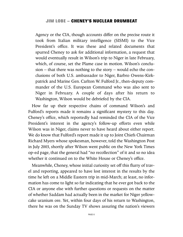Agency or the CIA, though accounts differ on the precise route it took from Italian military intelligence (SISMI) to the Vice President's office. It was these and related documents that spurred Cheney to ask for additional information, a request that would eventually result in Wilson's trip to Niger in late February, which, of course, set the Plame case in motion. Wilson's conclusion – that there was nothing to the story – would echo the conclusions of both U.S. ambassador to Niger, Barbro Owens-Kirkpatrick and Marine Gen. Carlton W. Fulford Jr., then-deputy commander of the U.S. European Command who was also sent to Niger in February. A couple of days after his return to Washington, Wilson would be debriefed by the CIA.

How far up their respective chains of command Wilson's and Fulford's reports made it remains a significant mystery to this day. Cheney's office, which reportedly had reminded the CIA of the Vice President's interest in the agency's follow-up efforts even while Wilson was in Niger, claims never to have heard about either report. We do know that Fulford's report made it up to Joint Chiefs Chairman Richard Myers whose spokesman, however, told the Washington Post in July 2003, shortly after Wilson went public on the New York Times op-ed page, that the general had "no recollection" of it and so no idea whether it continued on to the White House or Cheney's office.

Meanwhile, Cheney, whose initial curiosity set off this flurry of travel and reporting, appeared to have lost interest in the results by the time he left on a Middle Eastern trip in mid-March; at least, no information has come to light so far indicating that he ever got back to the CIA or anyone else with further questions or requests on the matter of whether Saddam had actually been in the market for Niger yellowcake uranium ore. Yet, within four days of his return to Washington, there he was on the Sunday TV shows assuring the nation's viewers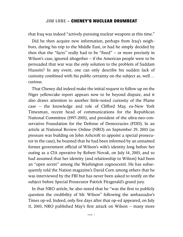that Iraq was indeed "actively pursuing nuclear weapons at this time."

Did he then acquire new information, perhaps from Iraq's neighbors, during his trip to the Middle East, or had he simply decided by then that the "facts" really had to be "fixed" – or more precisely in Wilson's case, ignored altogether – if the American people were to be persuaded that war was the only solution to the problem of Saddam Hussein? In any event, one can only describe his sudden lack of curiosity combined with his public certainty on the subject as, well… curious.

That Cheney did indeed make the initial request to follow up on the Niger yellowcake report appears now to be beyond dispute, and it also draws attention to another little-noted curiosity of the Plame case – the knowledge and role of Clifford May, ex-New York Timesman, recent head of communications for the Republican National Committee (1997-2001), and president of the ultra-neo-conservative Foundation for the Defense of Democracies (FDD). In an article at National Review Online (NRO) on September 29, 2003 (as pressure was building on John Ashcroft to appoint a special prosecutor in the case), he boasted that he had been informed by an unnamed former government official of Wilson's wife's identity long before her outing as a CIA operative by Robert Novak, on July 14, 2003, and so had assumed that her identity (and relationship to Wilson) had been an "open secret" among the Washington cognoscenti. He has subsequently told the Nation magazine's David Corn among others that he was interviewed by the FBI but has never been asked to testify on the subject before Special Prosecutor Patrick Fitzgerald's grand jury.

In that NRO article, he also noted that he "was the first to publicly question the credibility of Mr. Wilson" following the ambassador's Times op-ed. Indeed, only five days after that op-ed appeared, on July 11, 2003, NRO published May's first attack on Wilson – many more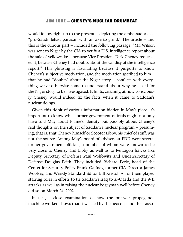would follow right up to the present – depicting the ambassador as a "pro-Saudi, leftist partisan with an axe to grind." The article – and this is the curious part – included the following passage: "Mr. Wilson was sent to Niger by the CIA to verify a U.S. intelligence report about the sale of yellowcake – because Vice President Dick Cheney requested it, because Cheney had doubts about the validity of the intelligence report." This phrasing is fascinating because it purports to know Cheney's subjective motivation, and the motivation ascribed to him – that he had "doubts" about the Niger story – conflicts with everything we've otherwise come to understand about why he asked for the Niger story to be investigated. It hints, certainly, at how consciously Cheney would indeed fix the facts when it came to Saddam's nuclear doings.

Given this tidbit of curious information hidden in May's piece, it's important to know what former government officials might not only have told May about Plame's identity but possibly about Cheney's real thoughts on the subject of Saddam's nuclear program – presuming, that is, that Cheney himself or Scooter Libby, his chief of staff, was not the source. Among May's board of advisers at FDD were several former government officials, a number of whom were known to be very close to Cheney and Libby as well as to Pentagon hawks like Deputy Secretary of Defense Paul Wolfowitz and Undersecretary of Defense Douglas Feith. They included Richard Perle, head of the Center for Security Policy Frank Gaffney, former CIA Director James Woolsey, and Weekly Standard Editor Bill Kristol. All of them played starring roles in efforts to tie Saddam's Iraq to al-Qaeda and the 9/11 attacks as well as in raising the nuclear bogeyman well before Cheney did so on March 24, 2002.

In fact, a close examination of how the pre-war propaganda machine worked shows that it was led by the neocons and their asso-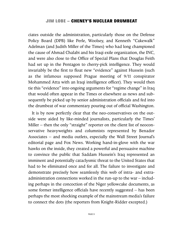ciates outside the administration, particularly those on the Defense Policy Board (DPB) like Perle, Woolsey, and Kenneth "Cakewalk" Adelman (and Judith Miller of the Times) who had long championed the cause of Ahmad Chalabi and his Iraqi exile organization, the INC, and were also close to the Office of Special Plans that Douglas Feith had set up in the Pentagon to cherry-pick intelligence. They would invariably be the first to float new "evidence" against Hussein (such as the infamous supposed Prague meeting of 9/11 conspirator Mohammed Atta with an Iraqi intelligence officer). They would then tie this "evidence" into ongoing arguments for "regime change" in Iraq that would often appear in the Times or elsewhere as news and subsequently be picked up by senior administration officials and fed into the drumbeat of war commentary pouring out of official Washington.

It is by now perfectly clear that the neo-conservatives on the outside were aided by like-minded journalists, particularly the Times' Miller – then the only "straight" reporter on the client list of neoconservative heavyweights and columnists represented by Benador Associates – and media outlets, especially the Wall Street Journal's editorial page and Fox News. Working hand-in-glove with the war hawks on the inside, they created a powerful and persuasive machine to convince the public that Saddam Hussein's Iraq represented an imminent and potentially cataclysmic threat to the United States that had to be eliminated once and for all. The failure to investigate and demonstrate precisely how seamlessly this web of intra- and extraadministration connections worked in the run-up to the war – including perhaps in the concoction of the Niger yellowcake documents, as some former intelligence officials have recently suggested – has been perhaps the most shocking example of the mainstream media's failure to connect the dots (the reporters from Knight-Ridder excepted.)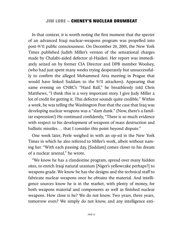In that context, it is worth noting the first moment that the specter of an advanced Iraqi nuclear-weapons program was propelled into post-9/11 public consciousness. On December 20, 2001, the New York Times published Judith Miller's version of the sensational charges made by Chalabi-aided defector al-Haideri. Her report was immediately seized on by former CIA Director and DPB member Woolsey, (who had just spent many weeks trying desperately but unsuccessfully to confirm the alleged Mohammed Atta meeting in Prague that would have linked Saddam to the 9/11 attackers). Appearing that same evening on CNBC's "Hard Ball," he breathlessly told Chris Matthews, "I think this is a very important story. I give Judy Miller a lot of credit for getting it. This defector sounds quite credible." Within a week, he was telling the Washington Post that the case that Iraq was developing nuclear weapons was a "slam dunk." (Now, there's a familiar expression!) He continued confidently, "There is so much evidence with respect to his development of weapons of mass destruction and ballistic missiles… that I consider this point beyond dispute."

One week later, Perle weighed in with an op-ed in the New York Times in which he also referred to Miller's work, albeit without naming her. "With each passing day, [Saddam] comes closer to his dream of a nuclear arsenal," he wrote.

"We know he has a clandestine program, spread over many hidden sites, to enrich Iraqi natural uranium [Niger's yellowcake perhaps?] to weapons grade. We know he has the designs and the technical staff to fabricate nuclear weapons once he obtains the material. And intelligence sources know he is in the market, with plenty of money, for both weapons material and components as well as finished nuclear weapons. How close is he? We do not know. Two years, three years, tomorrow even? We simply do not know, and any intelligence esti-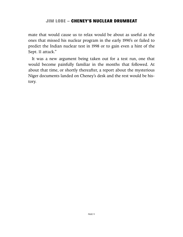mate that would cause us to relax would be about as useful as the ones that missed his nuclear program in the early 1990's or failed to predict the Indian nuclear test in 1998 or to gain even a hint of the Sept. 11 attack."

It was a new argument being taken out for a test run, one that would become painfully familiar in the months that followed. At about that time, or shortly thereafter, a report about the mysterious Niger documents landed on Cheney's desk and the rest would be history.